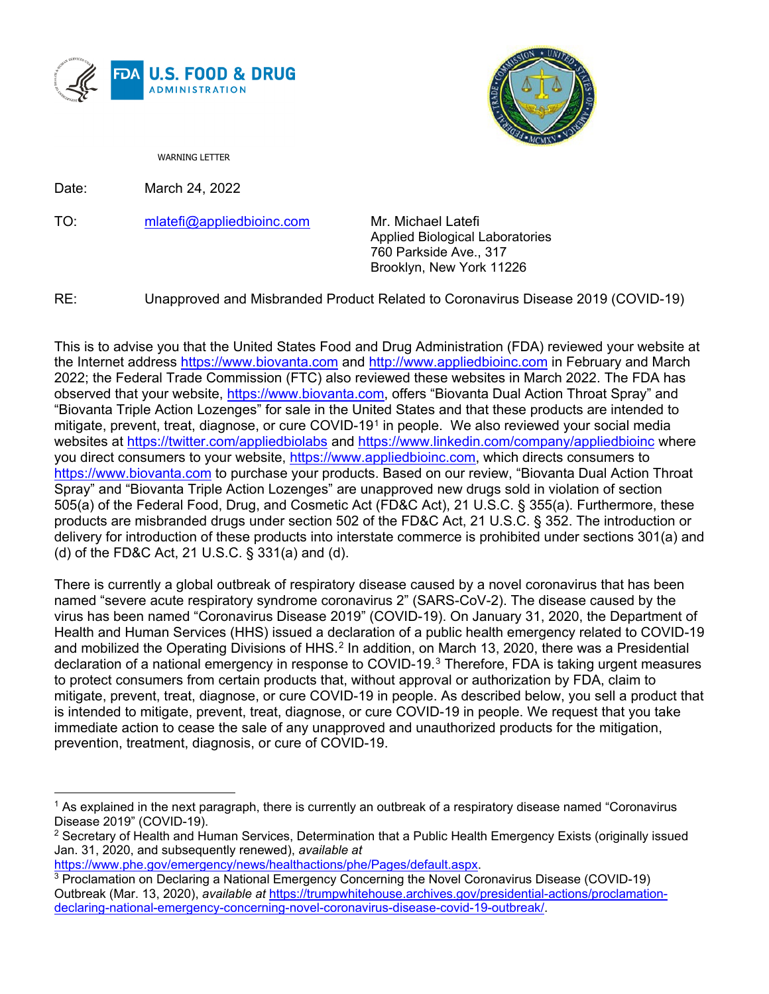



WARNING LETTER

Date: March 24, 2022

TO: [mlatefi@appliedbioinc.com](mailto:mlatefi@appliedbioinc.com) Mr. Michael Latefi

Applied Biological Laboratories 760 Parkside Ave., 317 Brooklyn, New York 11226

RE: Unapproved and Misbranded Product Related to Coronavirus Disease 2019 (COVID-19)

This is to advise you that the United States Food and Drug Administration (FDA) reviewed your website at the Internet address [https://www.biovanta.com](https://www.biovanta.com/) and [http://www.appliedbioinc.com](http://www.appliedbioinc.com/) in February and March 2022; the Federal Trade Commission (FTC) also reviewed these websites in March 2022. The FDA has observed that your website, [https://www.biovanta.com,](https://www.biovanta.com/) offers "Biovanta Dual Action Throat Spray" and "Biovanta Triple Action Lozenges" for sale in the United States and that these products are intended to mitigate, prevent, treat, diagnose, or cure COVID-19[1](#page-0-0) in people. We also reviewed your social media websites at<https://twitter.com/appliedbiolabs> and<https://www.linkedin.com/company/appliedbioinc> where you direct consumers to your website, [https://www.appliedbioinc.com,](https://www.appliedbioinc.com/) which directs consumers to [https://www.biovanta.com](https://www.biovanta.com/) to purchase your products. Based on our review, "Biovanta Dual Action Throat Spray" and "Biovanta Triple Action Lozenges" are unapproved new drugs sold in violation of section 505(a) of the Federal Food, Drug, and Cosmetic Act (FD&C Act), 21 U.S.C. § 355(a). Furthermore, these products are misbranded drugs under section 502 of the FD&C Act, 21 U.S.C. § 352. The introduction or delivery for introduction of these products into interstate commerce is prohibited under sections 301(a) and (d) of the FD&C Act, 21 U.S.C. § 331(a) and (d).

There is currently a global outbreak of respiratory disease caused by a novel coronavirus that has been named "severe acute respiratory syndrome coronavirus 2" (SARS-CoV-2). The disease caused by the virus has been named "Coronavirus Disease 2019" (COVID-19). On January 31, 2020, the Department of Health and Human Services (HHS) issued a declaration of a public health emergency related to COVID-19 and mobilized the Operating Divisions of HHS.<sup>[2](#page-0-1)</sup> In addition, on March 13, 2020, there was a Presidential declaration of a national emergency in response to COVID-19.[3](#page-0-2) Therefore, FDA is taking urgent measures to protect consumers from certain products that, without approval or authorization by FDA, claim to mitigate, prevent, treat, diagnose, or cure COVID-19 in people. As described below, you sell a product that is intended to mitigate, prevent, treat, diagnose, or cure COVID-19 in people. We request that you take immediate action to cease the sale of any unapproved and unauthorized products for the mitigation, prevention, treatment, diagnosis, or cure of COVID-19.

[https://www.phe.gov/emergency/news/healthactions/phe/Pages/default.aspx.](https://www.phe.gov/emergency/news/healthactions/phe/Pages/default.aspx)

<span id="page-0-0"></span><sup>&</sup>lt;sup>1</sup> As explained in the next paragraph, there is currently an outbreak of a respiratory disease named "Coronavirus Disease 2019" (COVID-19).

<span id="page-0-1"></span><sup>&</sup>lt;sup>2</sup> Secretary of Health and Human Services, Determination that a Public Health Emergency Exists (originally issued Jan. 31, 2020, and subsequently renewed), *available at*

<span id="page-0-2"></span><sup>3</sup> Proclamation on Declaring a National Emergency Concerning the Novel Coronavirus Disease (COVID-19) Outbreak (Mar. 13, 2020), *available at* [https://trumpwhitehouse.archives.gov/presidential-actions/proclamation](https://trumpwhitehouse.archives.gov/presidential-actions/proclamation-declaring-national-emergency-concerning-novel-coronavirus-disease-covid-19-outbreak/)[declaring-national-emergency-concerning-novel-coronavirus-disease-covid-19-outbreak/.](https://trumpwhitehouse.archives.gov/presidential-actions/proclamation-declaring-national-emergency-concerning-novel-coronavirus-disease-covid-19-outbreak/)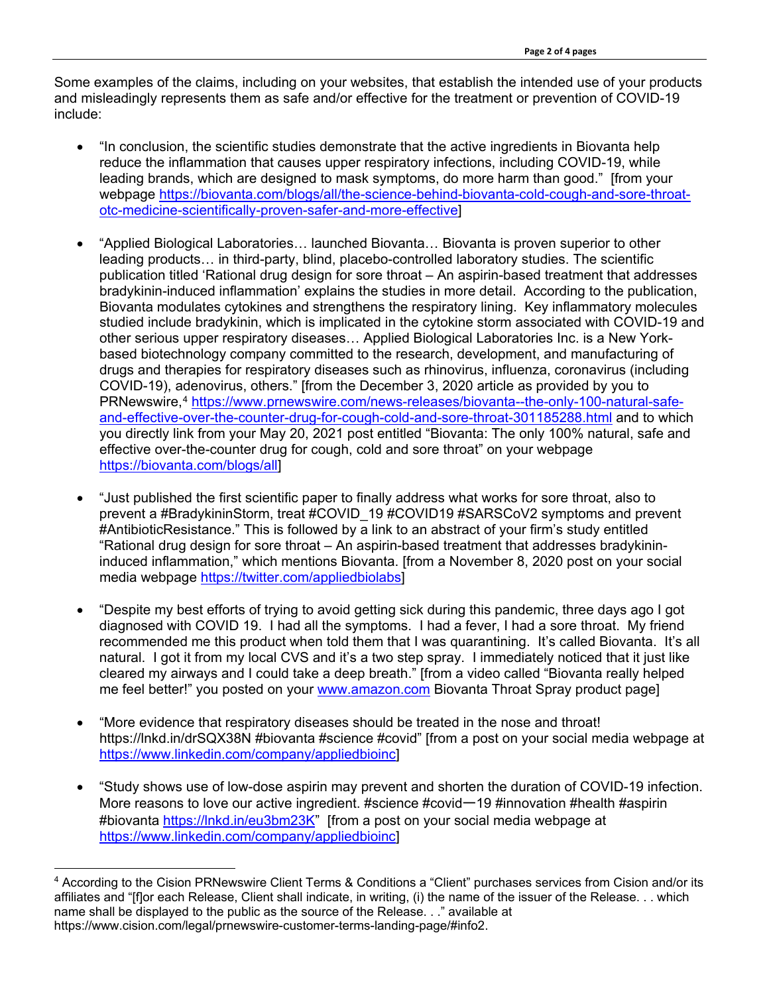Some examples of the claims, including on your websites, that establish the intended use of your products and misleadingly represents them as safe and/or effective for the treatment or prevention of COVID-19 include:

- "In conclusion, the scientific studies demonstrate that the active ingredients in Biovanta help reduce the inflammation that causes upper respiratory infections, including COVID-19, while leading brands, which are designed to mask symptoms, do more harm than good." [from your webpage [https://biovanta.com/blogs/all/the-science-behind-biovanta-cold-cough-and-sore-throat](https://biovanta.com/blogs/all/the-science-behind-biovanta-cold-cough-and-sore-throat-otc-medicine-scientifically-proven-safer-and-more-effective)[otc-medicine-scientifically-proven-safer-and-more-effective\]](https://biovanta.com/blogs/all/the-science-behind-biovanta-cold-cough-and-sore-throat-otc-medicine-scientifically-proven-safer-and-more-effective)
- "Applied Biological Laboratories… launched Biovanta… Biovanta is proven superior to other leading products… in third-party, blind, placebo-controlled laboratory studies. The scientific publication titled 'Rational drug design for sore throat – An aspirin-based treatment that addresses bradykinin-induced inflammation' explains the studies in more detail. According to the publication, Biovanta modulates cytokines and strengthens the respiratory lining. Key inflammatory molecules studied include bradykinin, which is implicated in the cytokine storm associated with COVID-19 and other serious upper respiratory diseases… Applied Biological Laboratories Inc. is a New Yorkbased biotechnology company committed to the research, development, and manufacturing of drugs and therapies for respiratory diseases such as rhinovirus, influenza, coronavirus (including COVID-19), adenovirus, others." [from the December 3, 2020 article as provided by you to PRNewswire,<sup>[4](#page-1-0)</sup> [https://www.prnewswire.com/news-releases/biovanta--the-only-100-natural-safe](https://www.prnewswire.com/news-releases/biovanta--the-only-100-natural-safe-and-effective-over-the-counter-drug-for-cough-cold-and-sore-throat-301185288.html)[and-effective-over-the-counter-drug-for-cough-cold-and-sore-throat-301185288.html](https://www.prnewswire.com/news-releases/biovanta--the-only-100-natural-safe-and-effective-over-the-counter-drug-for-cough-cold-and-sore-throat-301185288.html) and to which you directly link from your May 20, 2021 post entitled "Biovanta: The only 100% natural, safe and effective over-the-counter drug for cough, cold and sore throat" on your webpage [https://biovanta.com/blogs/all\]](https://biovanta.com/blogs/all)
- "Just published the first scientific paper to finally address what works for sore throat, also to prevent a #BradykininStorm, treat #COVID\_19 #COVID19 #SARSCoV2 symptoms and prevent #AntibioticResistance." This is followed by a link to an abstract of your firm's study entitled "Rational drug design for sore throat – An aspirin-based treatment that addresses bradykinininduced inflammation," which mentions Biovanta. [from a November 8, 2020 post on your social media webpage [https://twitter.com/appliedbiolabs\]](https://twitter.com/appliedbiolabs)
- "Despite my best efforts of trying to avoid getting sick during this pandemic, three days ago I got diagnosed with COVID 19. I had all the symptoms. I had a fever, I had a sore throat. My friend recommended me this product when told them that I was quarantining. It's called Biovanta. It's all natural. I got it from my local CVS and it's a two step spray. I immediately noticed that it just like cleared my airways and I could take a deep breath." [from a video called "Biovanta really helped me feel better!" you posted on your [www.amazon.com](http://www.amazon.com/) Biovanta Throat Spray product page]
- "More evidence that respiratory diseases should be treated in the nose and throat! https://lnkd.in/drSQX38N #biovanta #science #covid" [from a post on your social media webpage at [https://www.linkedin.com/company/appliedbioinc\]](https://www.linkedin.com/company/appliedbioinc)
- "Study shows use of low-dose aspirin may prevent and shorten the duration of COVID-19 infection. More reasons to love our active ingredient. #science #covid-19 #innovation #health #aspirin #biovanta [https://lnkd.in/eu3bm23K"](https://lnkd.in/eu3bm23K) [from a post on your social media webpage at [https://www.linkedin.com/company/appliedbioinc\]](https://www.linkedin.com/company/appliedbioinc)

<span id="page-1-0"></span><sup>4</sup> According to the Cision PRNewswire Client Terms & Conditions a "Client" purchases services from Cision and/or its affiliates and "[f]or each Release, Client shall indicate, in writing, (i) the name of the issuer of the Release. . . which name shall be displayed to the public as the source of the Release. . ." available at https://www.cision.com/legal/prnewswire-customer-terms-landing-page/#info2.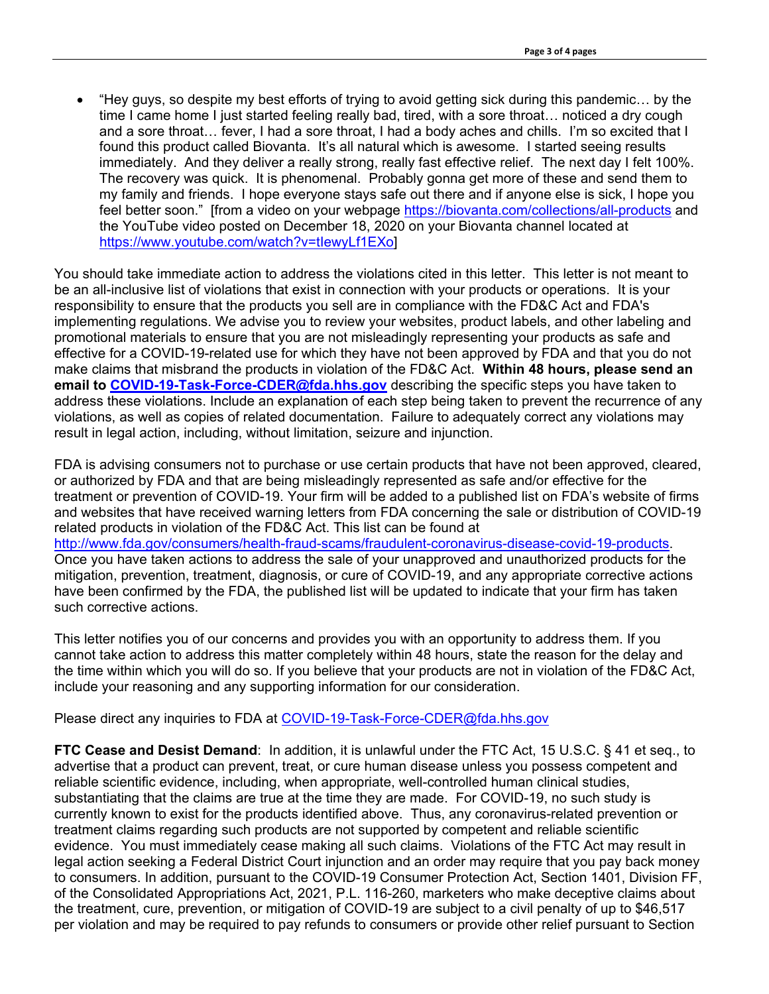• "Hey guys, so despite my best efforts of trying to avoid getting sick during this pandemic… by the time I came home I just started feeling really bad, tired, with a sore throat… noticed a dry cough and a sore throat… fever, I had a sore throat, I had a body aches and chills. I'm so excited that I found this product called Biovanta. It's all natural which is awesome. I started seeing results immediately. And they deliver a really strong, really fast effective relief. The next day I felt 100%. The recovery was quick. It is phenomenal. Probably gonna get more of these and send them to my family and friends. I hope everyone stays safe out there and if anyone else is sick, I hope you feel better soon." [from a video on your webpage <https://biovanta.com/collections/all-products> and the YouTube video posted on December 18, 2020 on your Biovanta channel located at [https://www.youtube.com/watch?v=tIewyLf1EXo\]](https://www.youtube.com/watch?v=tIewyLf1EXo)

You should take immediate action to address the violations cited in this letter. This letter is not meant to be an all-inclusive list of violations that exist in connection with your products or operations. It is your responsibility to ensure that the products you sell are in compliance with the FD&C Act and FDA's implementing regulations. We advise you to review your websites, product labels, and other labeling and promotional materials to ensure that you are not misleadingly representing your products as safe and effective for a COVID-19-related use for which they have not been approved by FDA and that you do not make claims that misbrand the products in violation of the FD&C Act. **Within 48 hours, please send an email to [COVID-19-Task-Force-CDER@fda.hhs.gov](mailto:COVID-19-Task-Force-CDER@fda.hhs.gov)** describing the specific steps you have taken to address these violations. Include an explanation of each step being taken to prevent the recurrence of any violations, as well as copies of related documentation. Failure to adequately correct any violations may result in legal action, including, without limitation, seizure and injunction.

FDA is advising consumers not to purchase or use certain products that have not been approved, cleared, or authorized by FDA and that are being misleadingly represented as safe and/or effective for the treatment or prevention of COVID-19. Your firm will be added to a published list on FDA's website of firms and websites that have received warning letters from FDA concerning the sale or distribution of COVID-19 related products in violation of the FD&C Act. This list can be found at [http://www.fda.gov/consumers/health-fraud-scams/fraudulent-coronavirus-disease-covid-19-products.](http://www.fda.gov/consumers/health-fraud-scams/fraudulent-coronavirus-disease-covid-19-products) Once you have taken actions to address the sale of your unapproved and unauthorized products for the mitigation, prevention, treatment, diagnosis, or cure of COVID-19, and any appropriate corrective actions have been confirmed by the FDA, the published list will be updated to indicate that your firm has taken such corrective actions.

This letter notifies you of our concerns and provides you with an opportunity to address them. If you cannot take action to address this matter completely within 48 hours, state the reason for the delay and the time within which you will do so. If you believe that your products are not in violation of the FD&C Act, include your reasoning and any supporting information for our consideration.

Please direct any inquiries to FDA at [COVID-19-Task-Force-CDER@fda.hhs.gov](mailto:COVID-19-Task-Force-CDER@fda.hhs.gov)

**FTC Cease and Desist Demand**: In addition, it is unlawful under the FTC Act, 15 U.S.C. § 41 et seq., to advertise that a product can prevent, treat, or cure human disease unless you possess competent and reliable scientific evidence, including, when appropriate, well-controlled human clinical studies, substantiating that the claims are true at the time they are made. For COVID-19, no such study is currently known to exist for the products identified above. Thus, any coronavirus-related prevention or treatment claims regarding such products are not supported by competent and reliable scientific evidence. You must immediately cease making all such claims. Violations of the FTC Act may result in legal action seeking a Federal District Court injunction and an order may require that you pay back money to consumers. In addition, pursuant to the COVID-19 Consumer Protection Act, Section 1401, Division FF, of the Consolidated Appropriations Act, 2021, P.L. 116-260, marketers who make deceptive claims about the treatment, cure, prevention, or mitigation of COVID-19 are subject to a civil penalty of up to \$46,517 per violation and may be required to pay refunds to consumers or provide other relief pursuant to Section